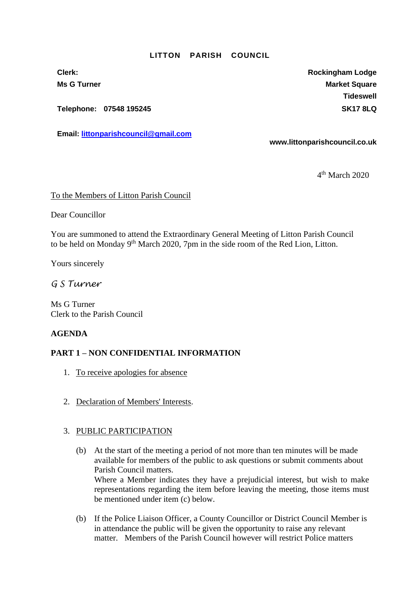#### **LITTON PARISH COUNCIL**

**Telephone: 07548 195245 SK17 8LQ**

**Email: [littonparishcouncil@gmail.com](mailto:littonparishcouncil@gmail.com)**

**Clerk: Rockingham Lodge Ms G Turner Market Square** Market Square Market Square **Tideswell**

**www.littonparishcouncil.co.uk**

4 th March 2020

#### To the Members of Litton Parish Council

Dear Councillor

You are summoned to attend the Extraordinary General Meeting of Litton Parish Council to be held on Monday 9<sup>th</sup> March 2020, 7pm in the side room of the Red Lion, Litton.

Yours sincerely

# *G S Turner*

Ms G Turner Clerk to the Parish Council

## **AGENDA**

## **PART 1 – NON CONFIDENTIAL INFORMATION**

- 1. To receive apologies for absence
- 2. Declaration of Members' Interests.

## 3. PUBLIC PARTICIPATION

- (b) At the start of the meeting a period of not more than ten minutes will be made available for members of the public to ask questions or submit comments about Parish Council matters. Where a Member indicates they have a prejudicial interest, but wish to make representations regarding the item before leaving the meeting, those items must be mentioned under item (c) below.
- (b) If the Police Liaison Officer, a County Councillor or District Council Member is in attendance the public will be given the opportunity to raise any relevant matter. Members of the Parish Council however will restrict Police matters